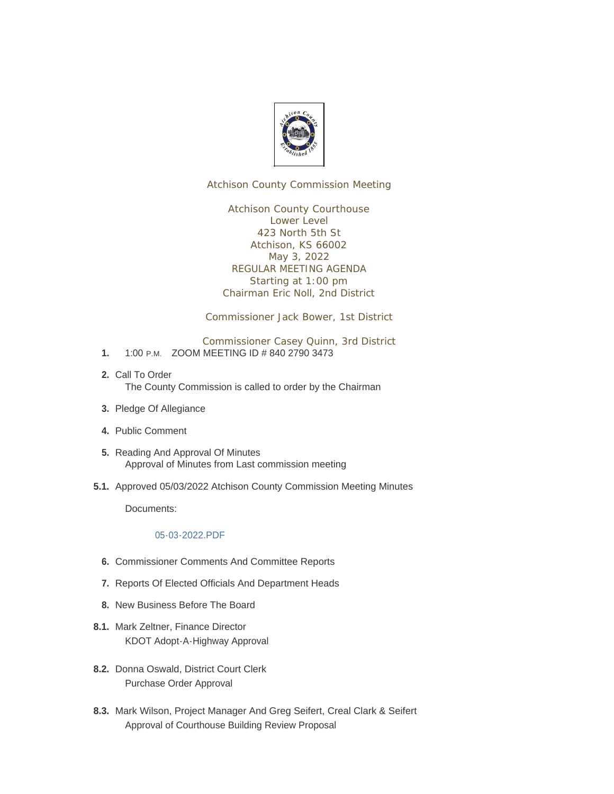

Atchison County Commission Meeting

Atchison County Courthouse Lower Level 423 North 5th St Atchison, KS 66002 May 3, 2022 REGULAR MEETING AGENDA Starting at 1:00 pm Chairman Eric Noll, 2nd District

Commissioner Jack Bower, 1st District

Commissioner Casey Quinn, 3rd District

- 1. 1:00 P.M. ZOOM MEETING ID # 840 2790 3473
- 2. Call To Order The County Commission is called to order by the Chairman
- 3. Pledge Of Allegiance
- Public Comment **4.**
- 5. Reading And Approval Of Minutes Approval of Minutes from Last commission meeting
- 5.1. Approved 05/03/2022 Atchison County Commission Meeting Minutes

Documents:

## [05-03-2022.PDF](http://www.atchisoncountyks.org/AgendaCenter/ViewFile/Item/10649?fileID=1757)

- **6.** Commissioner Comments And Committee Reports
- 7. Reports Of Elected Officials And Department Heads
- 8. New Business Before The Board
- 8.1. Mark Zeltner, Finance Director KDOT Adopt-A-Highway Approval
- 8.2. Donna Oswald, District Court Clerk Purchase Order Approval
- 8.3. Mark Wilson, Project Manager And Greg Seifert, Creal Clark & Seifert Approval of Courthouse Building Review Proposal